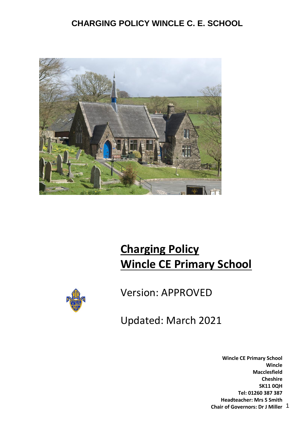

# **Charging Policy Wincle CE Primary School**



Version: APPROVED

Updated: March 2021

1 **Chair of Governors: Dr J Miller Wincle CE Primary School Wincle Macclesfield Cheshire SK11 0QH Tel: 01260 387 387 Headteacher: Mrs S Smith**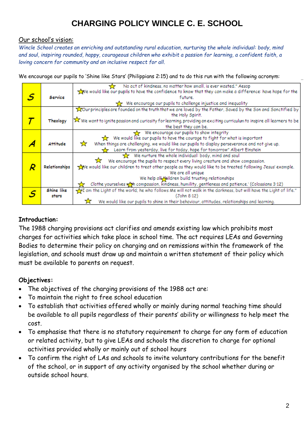#### Our school's vision:

*Wincle School creates an enriching and outstanding rural education, nurturing the whole individual: body, mind and soul, inspiring rounded, happy, courageous children who exhibit a passion for learning, a confident faith, a loving concern for community and an inclusive respect for all.*

We encourage our pupils to 'Shine like Stars' (Philippians 2:15) and to do this run with the following acronym:

|                   |                                                  | No act of kindness, no matter how small, is ever wasted." Aesop                                                        |  |  |  |
|-------------------|--------------------------------------------------|------------------------------------------------------------------------------------------------------------------------|--|--|--|
|                   |                                                  | We would like our pupils to have the confidence to know that they can make a difference: have hope for the             |  |  |  |
| .S                | Service                                          | future.                                                                                                                |  |  |  |
|                   |                                                  | We encourage our pupils to challenge injustice and inequality                                                          |  |  |  |
|                   |                                                  | Tour principles are founded on the truth that we are loved by the Father, Saved by the Son and Sanctified by           |  |  |  |
|                   |                                                  | the Holy Spirit.                                                                                                       |  |  |  |
|                   | Theology                                         | X We want to ignite passion and curiosity for learning, providing an exciting curriculum to inspire all learners to be |  |  |  |
|                   |                                                  | the best they can be.                                                                                                  |  |  |  |
|                   |                                                  | We encourage our pupils to show integrity                                                                              |  |  |  |
|                   |                                                  | We would like our pupils to have the courage to fight for what is important                                            |  |  |  |
|                   | <b>Attitude</b>                                  | When things are challenging, we would like our pupils to display perseverance and not give up.<br>☆                    |  |  |  |
|                   |                                                  | Learn from yesterday, live for today, hope for tomorrow" Albert Einstein                                               |  |  |  |
|                   |                                                  | We nurture the whole individual: body, mind and soul                                                                   |  |  |  |
|                   |                                                  | We encourage the pupils to respect every living creature and show compassion.                                          |  |  |  |
|                   | Relationships                                    | we would like our children to treat other people as they would like to be treated following Jesus' example.            |  |  |  |
| We are all unique |                                                  |                                                                                                                        |  |  |  |
|                   | We help all bildren build trusting relationships |                                                                                                                        |  |  |  |
|                   |                                                  | Clothe yourselves with compassion, kindness, humility, gentleness and patience.' (Colossians 3:12)                     |  |  |  |
|                   | Shine like                                       | am the Light of the world; he who follows Me will not walk in the darkness, but will have the Light of life."          |  |  |  |
|                   | stars                                            | (John 8:12)                                                                                                            |  |  |  |
|                   |                                                  | We would like our pupils to shine in their behaviour, attitudes, relationships and learning.                           |  |  |  |

#### **Introduction:**

The 1988 charging provisions act clarifies and amends existing law which prohibits most charges for activities which take place in school time. The act requires LEAs and Governing Bodies to determine their policy on charging and on remissions within the framework of the legislation, and schools must draw up and maintain a written statement of their policy which must be available to parents on request.

#### **Objectives:**

- The objectives of the charging provisions of the 1988 act are:
- To maintain the right to free school education
- To establish that activities offered wholly or mainly during normal teaching time should be available to all pupils regardless of their parents' ability or willingness to help meet the cost.
- To emphasise that there is no statutory requirement to charge for any form of education or related activity, but to give LEAs and schools the discretion to charge for optional activities provided wholly or mainly out of school hours
- To confirm the right of LAs and schools to invite voluntary contributions for the benefit of the school, or in support of any activity organised by the school whether during or outside school hours.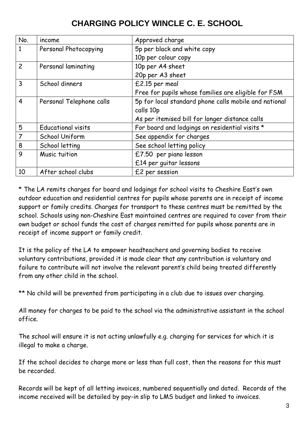| No.                           | income                    | Approved charge                                       |  |
|-------------------------------|---------------------------|-------------------------------------------------------|--|
| 1                             | Personal Photocopying     | 5p per black and white copy                           |  |
|                               |                           | 10p per colour copy                                   |  |
| $\overline{c}$                | Personal laminating       | 10p per A4 sheet                                      |  |
|                               |                           | 20p per A3 sheet                                      |  |
| 3                             | School dinners            | £2.15 per meal                                        |  |
|                               |                           | Free for pupils whose families are eligible for FSM   |  |
| 4<br>Personal Telephone calls |                           | 5p for local standard phone calls mobile and national |  |
|                               |                           | calls 10p                                             |  |
|                               |                           | As per itemised bill for longer distance calls        |  |
| 5                             | <b>Educational visits</b> | For board and lodgings on residential visits *        |  |
|                               | School Uniform            | See appendix for charges                              |  |
| 8                             | School letting            | See school letting policy                             |  |
| 9                             | Music tuition             | £7.50 per piano lesson                                |  |
|                               |                           | £14 per guitar lessons                                |  |
| 10                            | After school clubs        | £2 per session                                        |  |

\* The LA remits charges for board and lodgings for school visits to Cheshire East's own outdoor education and residential centres for pupils whose parents are in receipt of income support or family credits. Charges for transport to these centres must be remitted by the school. Schools using non-Cheshire East maintained centres are required to cover from their own budget or school funds the cost of charges remitted for pupils whose parents are in receipt of income support or family credit.

It is the policy of the LA to empower headteachers and governing bodies to receive voluntary contributions, provided it is made clear that any contribution is voluntary and failure to contribute will not involve the relevant parent's child being treated differently from any other child in the school.

\*\* No child will be prevented from participating in a club due to issues over charging.

All money for charges to be paid to the school via the administrative assistant in the school office.

The school will ensure it is not acting unlawfully e.g. charging for services for which it is illegal to make a charge.

If the school decides to charge more or less than full cost, then the reasons for this must be recorded.

Records will be kept of all letting invoices, numbered sequentially and dated. Records of the income received will be detailed by pay-in slip to LMS budget and linked to invoices.